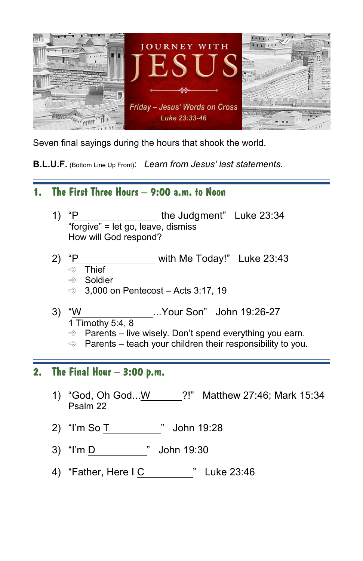

Seven final sayings during the hours that shook the world.

**B.L.U.F.** (Bottom Line Up Front): *Learn from Jesus' last statements.*

## **1. The First Three Hours – 9:00 a.m. to Noon**

- 1) "P the Judgment" Luke 23:34 "forgive" = let go, leave, dismiss How will God respond?
- 2) "P with Me Today!" Luke 23:43
	- $\Rightarrow$  Thief
	- $\Rightarrow$  Soldier
	- $\Rightarrow$  3,000 on Pentecost Acts 3:17, 19
- 3) "W ...Your Son" John 19:26-27 1 Timothy 5:4, 8
	- $\Rightarrow$  Parents live wisely. Don't spend everything you earn.
	- $\Rightarrow$  Parents teach your children their responsibility to you.

## **2. The Final Hour – 3:00 p.m.**

- 1) "God, Oh God...W ?!" Matthew 27:46; Mark 15:34 Psalm 22
- 2) "I'm So T " John 19:28
- 3) "I'm D " John 19:30
- 4) "Father, Here I C " Luke 23:46